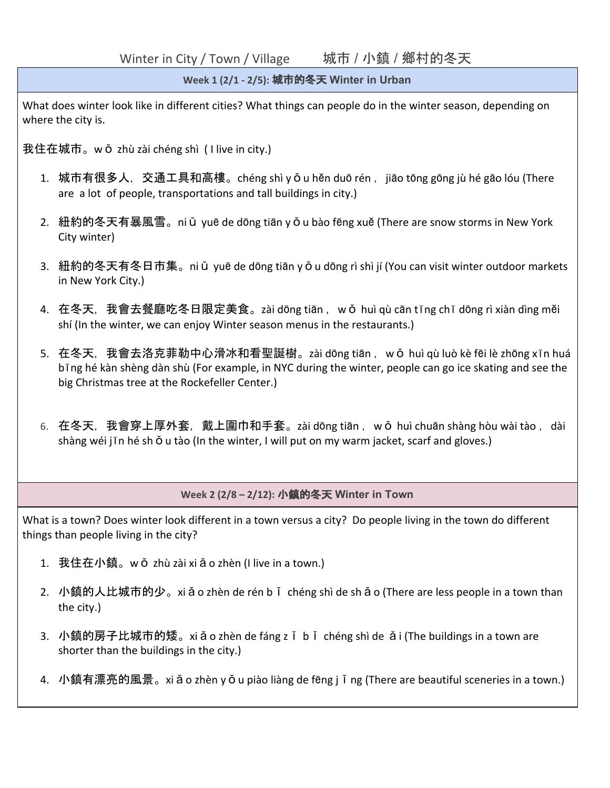Winter in City / Town / Village 城市 / 小鎮 / 鄉村的冬天

## **Week 1 (2/1 - 2/5):** 城市的冬天 **Winter in Urban**

What does winter look like in different cities? What things can people do in the winter season, depending on where the city is.

我住在城市。w ǒ zhù zài chéng shì ( I live in city.)

- 1. 城市有很多人,交通工具和高樓。chéng shì y ǒ u hěn duō rén ,jiāo tōng gōng jù hé gāo lóu (There are a lot of people, transportations and tall buildings in city.)
- 2. 紐約的冬天有暴風雪。niǔ yuē de dōng tiān yǒu bào fēng xuě (There are snow storms in New York City winter)
- 3. 紐約的冬天有冬日市集。ni ǔ yuē de dōng tiān y ǒ u dōng rì shì jí (You can visit winter outdoor markets in New York City.)
- 4. 在冬天,我會去餐廳吃冬日限定美食。zài dōng tiān ,wǒ huì qù cān tīng chī dōng rì xiàn dìng měi shí (In the winter, we can enjoy Winter season menus in the restaurants.)
- 5. 在冬天,我會去洛克菲勒中心滑冰和看聖誕樹。zài dōng tiān, wǒ huì qù luò kè fēi lè zhōng xīn huá bīng hé kàn shèng dàn shù (For example, in NYC during the winter, people can go ice skating and see the big Christmas tree at the Rockefeller Center.)
- 6. 在冬天,我會穿上厚外套,戴上圍巾和手套。zài dōng tiān ,wǒ huì chuān shàng hòu wài tào ,dài shàng wéi jīn hé sh  $\check{\mathrm{o}}$  u tào (In the winter, I will put on my warm jacket, scarf and gloves.)

## **Week 2 (2/8 – 2/12):** 小鎮的冬天 **Winter in Town**

What is a town? Does winter look different in a town versus a city? Do people living in the town do different things than people living in the city?

- 1. 我住在小鎮。wǒ zhù zài xiǎo zhèn (I live in a town.)
- 2. 小鎮的人比城市的少。xiǎo zhèn de rén bǐ chéng shì de shǎo (There are less people in a town than the city.)
- 3. 小鎮的房子比城市的矮。xiǎo zhèn de fáng zǐ bǐ chéng shì de ǎi (The buildings in a town are shorter than the buildings in the city.)
- 4. 小鎮有漂亮的風景。xiǎo zhèn yǒu piào liàng de fēng jǐng (There are beautiful sceneries in a town.)